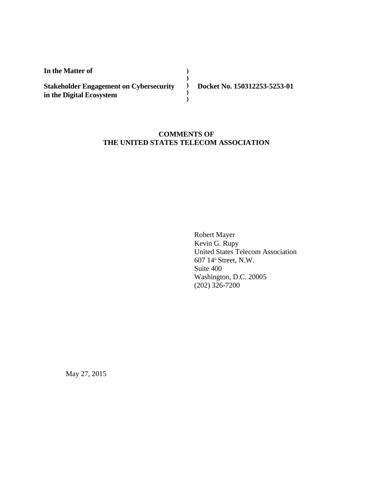**In the Matter of ) Stakeholder Engagement on Cybersecurity in the Digital Ecosystem**

**Docket No. 150312253-5253-01**

### **COMMENTS OF THE UNITED STATES TELECOM ASSOCIATION**

**) ) ) )**

> Robert Mayer Kevin G. Rupy United States Telecom Association 607 14th Street, N.W. Suite 400 Washington, D.C. 20005 (202) 326-7200

May 27, 2015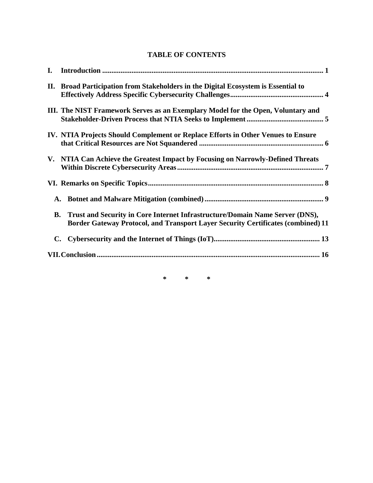# **TABLE OF CONTENTS**

| I. |                                                                                                                                                                  |
|----|------------------------------------------------------------------------------------------------------------------------------------------------------------------|
|    | II. Broad Participation from Stakeholders in the Digital Ecosystem is Essential to                                                                               |
|    | III. The NIST Framework Serves as an Exemplary Model for the Open, Voluntary and                                                                                 |
|    | IV. NTIA Projects Should Complement or Replace Efforts in Other Venues to Ensure                                                                                 |
|    | V. NTIA Can Achieve the Greatest Impact by Focusing on Narrowly-Defined Threats                                                                                  |
|    |                                                                                                                                                                  |
| A. |                                                                                                                                                                  |
| В. | Trust and Security in Core Internet Infrastructure/Domain Name Server (DNS),<br>Border Gateway Protocol, and Transport Layer Security Certificates (combined) 11 |
|    |                                                                                                                                                                  |
|    |                                                                                                                                                                  |

**\* \* \***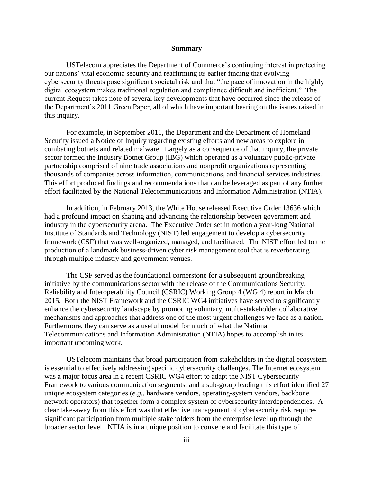#### **Summary**

USTelecom appreciates the Department of Commerce's continuing interest in protecting our nations' vital economic security and reaffirming its earlier finding that evolving cybersecurity threats pose significant societal risk and that "the pace of innovation in the highly digital ecosystem makes traditional regulation and compliance difficult and inefficient." The current Request takes note of several key developments that have occurred since the release of the Department's 2011 Green Paper, all of which have important bearing on the issues raised in this inquiry.

For example, in September 2011, the Department and the Department of Homeland Security issued a Notice of Inquiry regarding existing efforts and new areas to explore in combating botnets and related malware. Largely as a consequence of that inquiry, the private sector formed the Industry Botnet Group (IBG) which operated as a voluntary public-private partnership comprised of nine trade associations and nonprofit organizations representing thousands of companies across information, communications, and financial services industries. This effort produced findings and recommendations that can be leveraged as part of any further effort facilitated by the National Telecommunications and Information Administration (NTIA).

In addition, in February 2013, the White House released Executive Order 13636 which had a profound impact on shaping and advancing the relationship between government and industry in the cybersecurity arena. The Executive Order set in motion a year-long National Institute of Standards and Technology (NIST) led engagement to develop a cybersecurity framework (CSF) that was well-organized, managed, and facilitated. The NIST effort led to the production of a landmark business-driven cyber risk management tool that is reverberating through multiple industry and government venues.

The CSF served as the foundational cornerstone for a subsequent groundbreaking initiative by the communications sector with the release of the Communications Security, Reliability and Interoperability Council (CSRIC) Working Group 4 (WG 4) report in March 2015. Both the NIST Framework and the CSRIC WG4 initiatives have served to significantly enhance the cybersecurity landscape by promoting voluntary, multi-stakeholder collaborative mechanisms and approaches that address one of the most urgent challenges we face as a nation. Furthermore, they can serve as a useful model for much of what the National Telecommunications and Information Administration (NTIA) hopes to accomplish in its important upcoming work.

USTelecom maintains that broad participation from stakeholders in the digital ecosystem is essential to effectively addressing specific cybersecurity challenges. The Internet ecosystem was a major focus area in a recent CSRIC WG4 effort to adapt the NIST Cybersecurity Framework to various communication segments, and a sub-group leading this effort identified 27 unique ecosystem categories (*e.g.*, hardware vendors, operating-system vendors, backbone network operators) that together form a complex system of cybersecurity interdependencies. A clear take-away from this effort was that effective management of cybersecurity risk requires significant participation from multiple stakeholders from the enterprise level up through the broader sector level. NTIA is in a unique position to convene and facilitate this type of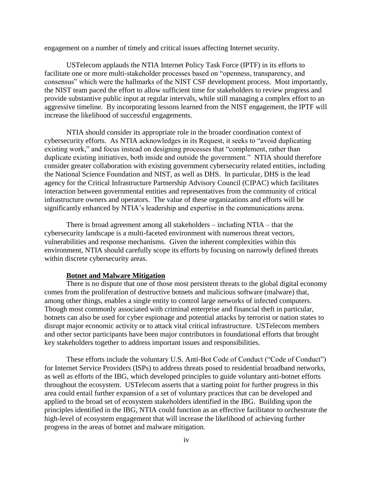engagement on a number of timely and critical issues affecting Internet security.

USTelecom applauds the NTIA Internet Policy Task Force (IPTF) in its efforts to facilitate one or more multi-stakeholder processes based on "openness, transparency, and consensus" which were the hallmarks of the NIST CSF development process. Most importantly, the NIST team paced the effort to allow sufficient time for stakeholders to review progress and provide substantive public input at regular intervals, while still managing a complex effort to an aggressive timeline. By incorporating lessons learned from the NIST engagement, the IPTF will increase the likelihood of successful engagements.

NTIA should consider its appropriate role in the broader coordination context of cybersecurity efforts. As NTIA acknowledges in its Request, it seeks to "avoid duplicating existing work," and focus instead on designing processes that "complement, rather than duplicate existing initiatives, both inside and outside the government." NTIA should therefore consider greater collaboration with existing government cybersecurity related entities, including the National Science Foundation and NIST, as well as DHS. In particular, DHS is the lead agency for the Critical Infrastructure Partnership Advisory Council (CIPAC) which facilitates interaction between governmental entities and representatives from the community of critical infrastructure owners and operators. The value of these organizations and efforts will be significantly enhanced by NTIA's leadership and expertise in the communications arena.

There is broad agreement among all stakeholders – including NTIA – that the cybersecurity landscape is a multi-faceted environment with numerous threat vectors, vulnerabilities and response mechanisms. Given the inherent complexities within this environment, NTIA should carefully scope its efforts by focusing on narrowly defined threats within discrete cybersecurity areas.

#### **Botnet and Malware Mitigation**

There is no dispute that one of those most persistent threats to the global digital economy comes from the proliferation of destructive botnets and malicious software (malware) that, among other things, enables a single entity to control large networks of infected computers. Though most commonly associated with criminal enterprise and financial theft in particular, botnets can also be used for cyber espionage and potential attacks by terrorist or nation states to disrupt major economic activity or to attack vital critical infrastructure. USTelecom members and other sector participants have been major contributors in foundational efforts that brought key stakeholders together to address important issues and responsibilities.

These efforts include the voluntary U.S. Anti-Bot Code of Conduct ("Code of Conduct") for Internet Service Providers (ISPs) to address threats posed to residential broadband networks, as well as efforts of the IBG, which developed principles to guide voluntary anti-botnet efforts throughout the ecosystem. USTelecom asserts that a starting point for further progress in this area could entail further expansion of a set of voluntary practices that can be developed and applied to the broad set of ecosystem stakeholders identified in the IBG. Building upon the principles identified in the IBG, NTIA could function as an effective facilitator to orchestrate the high-level of ecosystem engagement that will increase the likelihood of achieving further progress in the areas of botnet and malware mitigation.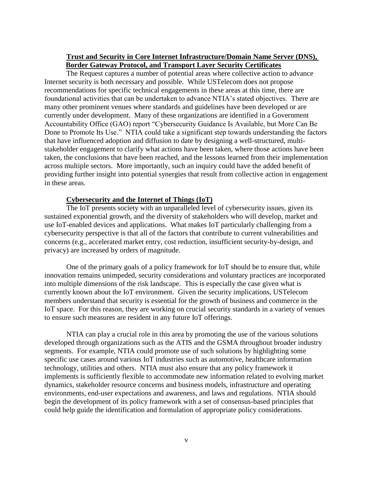#### **Trust and Security in Core Internet Infrastructure/Domain Name Server (DNS), Border Gateway Protocol, and Transport Layer Security Certificates**

The Request captures a number of potential areas where collective action to advance Internet security is both necessary and possible. While USTelecom does not propose recommendations for specific technical engagements in these areas at this time, there are foundational activities that can be undertaken to advance NTIA's stated objectives. There are many other prominent venues where standards and guidelines have been developed or are currently under development. Many of these organizations are identified in a Government Accountability Office (GAO) report "Cybersecurity Guidance Is Available, but More Can Be Done to Promote Its Use." NTIA could take a significant step towards understanding the factors that have influenced adoption and diffusion to date by designing a well-structured, multistakeholder engagement to clarify what actions have been taken, where those actions have been taken, the conclusions that have been reached, and the lessons learned from their implementation across multiple sectors. More importantly, such an inquiry could have the added benefit of providing further insight into potential synergies that result from collective action in engagement in these areas.

#### **Cybersecurity and the Internet of Things (IoT)**

The IoT presents society with an unparalleled level of cybersecurity issues, given its sustained exponential growth, and the diversity of stakeholders who will develop, market and use IoT-enabled devices and applications. What makes IoT particularly challenging from a cybersecurity perspective is that all of the factors that contribute to current vulnerabilities and concerns (e.g., accelerated market entry, cost reduction, insufficient security-by-design, and privacy) are increased by orders of magnitude.

One of the primary goals of a policy framework for IoT should be to ensure that, while innovation remains unimpeded, security considerations and voluntary practices are incorporated into multiple dimensions of the risk landscape. This is especially the case given what is currently known about the IoT environment. Given the security implications, USTelecom members understand that security is essential for the growth of business and commerce in the IoT space. For this reason, they are working on crucial security standards in a variety of venues to ensure such measures are resident in any future IoT offerings.

NTIA can play a crucial role in this area by promoting the use of the various solutions developed through organizations such as the ATIS and the GSMA throughout broader industry segments. For example, NTIA could promote use of such solutions by highlighting some specific use cases around various IoT industries such as automotive, healthcare information technology, utilities and others. NTIA must also ensure that any policy framework it implements is sufficiently flexible to accommodate new information related to evolving market dynamics, stakeholder resource concerns and business models, infrastructure and operating environments, end-user expectations and awareness, and laws and regulations. NTIA should begin the development of its policy framework with a set of consensus-based principles that could help guide the identification and formulation of appropriate policy considerations.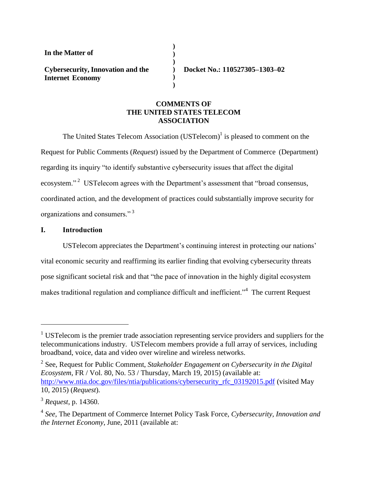**In the Matter of Cybersecurity, Innovation and the Internet Economy**

**Docket No.: 110527305–1303–02**

#### **COMMENTS OF THE UNITED STATES TELECOM ASSOCIATION**

**) ) )**

**) ) )**

The United States Telecom Association  $(USTelecom)^{1}$  is pleased to comment on the Request for Public Comments (*Request*) issued by the Department of Commerce (Department) regarding its inquiry "to identify substantive cybersecurity issues that affect the digital ecosystem."<sup>2</sup> USTelecom agrees with the Department's assessment that "broad consensus, coordinated action, and the development of practices could substantially improve security for organizations and consumers." <sup>3</sup>

#### <span id="page-5-0"></span>**I. Introduction**

USTelecom appreciates the Department's continuing interest in protecting our nations' vital economic security and reaffirming its earlier finding that evolving cybersecurity threats pose significant societal risk and that "the pace of innovation in the highly digital ecosystem makes traditional regulation and compliance difficult and inefficient."<sup>4</sup> The current Request

<sup>&</sup>lt;sup>1</sup> USTelecom is the premier trade association representing service providers and suppliers for the telecommunications industry. USTelecom members provide a full array of services, including broadband, voice, data and video over wireline and wireless networks.

<sup>2</sup> See, Request for Public Comment, *Stakeholder Engagement on Cybersecurity in the Digital Ecosystem*, FR / Vol. 80, No. 53 / Thursday, March 19, 2015) (available at: [http://www.ntia.doc.gov/files/ntia/publications/cybersecurity\\_rfc\\_03192015.pdf](http://www.ntia.doc.gov/files/ntia/publications/cybersecurity_rfc_03192015.pdf) (visited May 10, 2015) (*Request*).

<sup>3</sup> *Request*, p. 14360.

<sup>4</sup> *See*, The Department of Commerce Internet Policy Task Force, *Cybersecurity, Innovation and the Internet Economy*, June, 2011 (available at: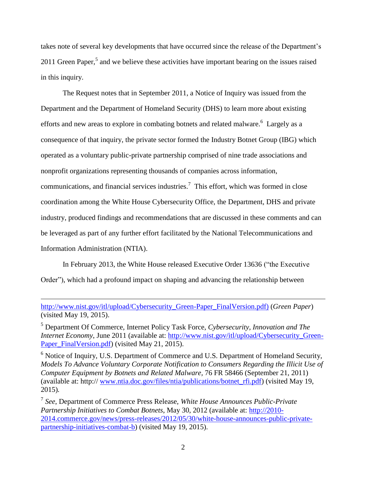takes note of several key developments that have occurred since the release of the Department's 2011 Green Paper,<sup>5</sup> and we believe these activities have important bearing on the issues raised in this inquiry.

The Request notes that in September 2011, a Notice of Inquiry was issued from the Department and the Department of Homeland Security (DHS) to learn more about existing efforts and new areas to explore in combating botnets and related malware.<sup>6</sup> Largely as a consequence of that inquiry, the private sector formed the Industry Botnet Group (IBG) which operated as a voluntary public-private partnership comprised of nine trade associations and nonprofit organizations representing thousands of companies across information, communications, and financial services industries.<sup>7</sup> This effort, which was formed in close coordination among the White House Cybersecurity Office, the Department, DHS and private industry, produced findings and recommendations that are discussed in these comments and can be leveraged as part of any further effort facilitated by the National Telecommunications and Information Administration (NTIA).

In February 2013, the White House released Executive Order 13636 ("the Executive Order"), which had a profound impact on shaping and advancing the relationship between

 $\overline{a}$ 

 $6$  Notice of Inquiry, U.S. Department of Commerce and U.S. Department of Homeland Security, *Models To Advance Voluntary Corporate Notification to Consumers Regarding the Illicit Use of Computer Equipment by Botnets and Related Malware,* 76 FR 58466 (September 21, 2011) (available at: http:// [www.ntia.doc.gov/files/ntia/publications/botnet\\_rfi.pdf\)](http://www.ntia.doc.gov/files/ntia/publications/botnet_rfi.pdf) (visited May 19, 2015)*.*

[http://www.nist.gov/itl/upload/Cybersecurity\\_Green-Paper\\_FinalVersion.pdf\)](http://www.nist.gov/itl/upload/Cybersecurity_Green-Paper_FinalVersion.pdf)) (*Green Paper*) (visited May 19, 2015).

<sup>5</sup> Department Of Commerce, Internet Policy Task Force, *Cybersecurity, Innovation and The Internet Economy*, June 2011 (available at: [http://www.nist.gov/itl/upload/Cybersecurity\\_Green-](http://www.nist.gov/itl/upload/Cybersecurity_Green-Paper_FinalVersion.pdf)[Paper\\_FinalVersion.pdf\)](http://www.nist.gov/itl/upload/Cybersecurity_Green-Paper_FinalVersion.pdf) (visited May 21, 2015).

<sup>7</sup> *See*, Department of Commerce Press Release, *White House Announces Public-Private Partnership Initiatives to Combat Botnets*, May 30, 2012 (available at: [http://2010-](http://2010-2014.commerce.gov/news/press-releases/2012/05/30/white-house-announces-public-private-partnership-initiatives-combat-b) [2014.commerce.gov/news/press-releases/2012/05/30/white-house-announces-public-private](http://2010-2014.commerce.gov/news/press-releases/2012/05/30/white-house-announces-public-private-partnership-initiatives-combat-b)[partnership-initiatives-combat-b\)](http://2010-2014.commerce.gov/news/press-releases/2012/05/30/white-house-announces-public-private-partnership-initiatives-combat-b) (visited May 19, 2015).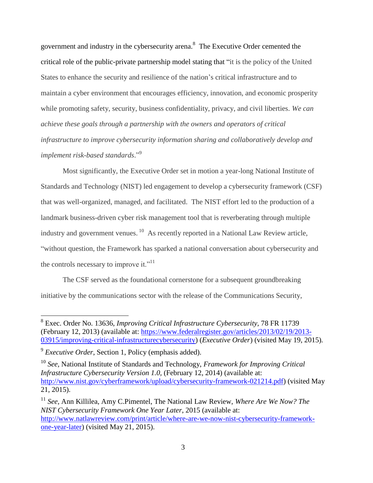government and industry in the cybersecurity arena.<sup>8</sup> The Executive Order cemented the critical role of the public-private partnership model stating that "it is the policy of the United States to enhance the security and resilience of the nation's critical infrastructure and to maintain a cyber environment that encourages efficiency, innovation, and economic prosperity while promoting safety, security, business confidentiality, privacy, and civil liberties. *We can achieve these goals through a partnership with the owners and operators of critical infrastructure to improve cybersecurity information sharing and collaboratively develop and implement risk-based standards*." 9

Most significantly, the Executive Order set in motion a year-long National Institute of Standards and Technology (NIST) led engagement to develop a cybersecurity framework (CSF) that was well-organized, managed, and facilitated. The NIST effort led to the production of a landmark business-driven cyber risk management tool that is reverberating through multiple industry and government venues.<sup>10</sup> As recently reported in a National Law Review article, "without question, the Framework has sparked a national conversation about cybersecurity and the controls necessary to improve it."<sup>11</sup>

The CSF served as the foundational cornerstone for a subsequent groundbreaking initiative by the communications sector with the release of the Communications Security,

<sup>&</sup>lt;sup>8</sup> Exec. Order No. 13636, *Improving Critical Infrastructure Cybersecurity*, 78 FR 11739 (February 12, 2013) (available at: [https://www.federalregister.gov/articles/2013/02/19/2013-](https://www.federalregister.gov/articles/2013/02/19/2013-03915/improving-critical-infrastructurecybersecurity) [03915/improving-critical-infrastructurecybersecurity\)](https://www.federalregister.gov/articles/2013/02/19/2013-03915/improving-critical-infrastructurecybersecurity) (*Executive Order*) (visited May 19, 2015)*.*

<sup>&</sup>lt;sup>9</sup> Executive Order, Section 1, Policy (emphasis added).

<sup>10</sup> *See,* National Institute of Standards and Technology, *Framework for Improving Critical Infrastructure Cybersecurity Version 1.0,* (February 12, 2014) (available at: [http://www.nist.gov/cyberframework/upload/cybersecurity-framework-021214.pdf\)](http://www.nist.gov/cyberframework/upload/cybersecurity-framework-021214.pdf) (visited May 21, 2015).

<sup>11</sup> *See,* Ann Killilea, Amy C.Pimentel, The National Law Review, *Where Are We Now? The NIST Cybersecurity Framework One Year Later*, 2015 (available at: [http://www.natlawreview.com/print/article/where-are-we-now-nist-cybersecurity-framework](http://www.natlawreview.com/print/article/where-are-we-now-nist-cybersecurity-framework-one-year-later)[one-year-later\)](http://www.natlawreview.com/print/article/where-are-we-now-nist-cybersecurity-framework-one-year-later) (visited May 21, 2015).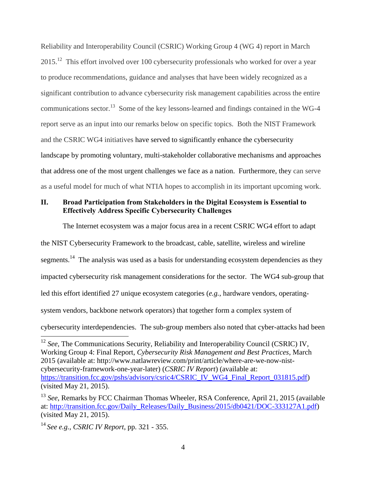Reliability and Interoperability Council (CSRIC) Working Group 4 (WG 4) report in March 2015.<sup>12</sup> This effort involved over 100 cybersecurity professionals who worked for over a year to produce recommendations, guidance and analyses that have been widely recognized as a significant contribution to advance cybersecurity risk management capabilities across the entire communications sector.<sup>13</sup> Some of the key lessons-learned and findings contained in the WG-4 report serve as an input into our remarks below on specific topics. Both the NIST Framework and the CSRIC WG4 initiatives have served to significantly enhance the cybersecurity landscape by promoting voluntary, multi-stakeholder collaborative mechanisms and approaches that address one of the most urgent challenges we face as a nation. Furthermore, they can serve as a useful model for much of what NTIA hopes to accomplish in its important upcoming work.

## <span id="page-8-0"></span>**II. Broad Participation from Stakeholders in the Digital Ecosystem is Essential to Effectively Address Specific Cybersecurity Challenges**

The Internet ecosystem was a major focus area in a recent CSRIC WG4 effort to adapt

the NIST Cybersecurity Framework to the broadcast, cable, satellite, wireless and wireline segments.<sup>14</sup> The analysis was used as a basis for understanding ecosystem dependencies as they impacted cybersecurity risk management considerations for the sector. The WG4 sub-group that led this effort identified 27 unique ecosystem categories (*e.g.*, hardware vendors, operatingsystem vendors, backbone network operators) that together form a complex system of

cybersecurity interdependencies. The sub-group members also noted that cyber-attacks had been

<sup>&</sup>lt;sup>12</sup> See, The Communications Security, Reliability and Interoperability Council (CSRIC) IV, Working Group 4: Final Report, *Cybersecurity Risk Management and Best Practices*, March 2015 (available at: http://www.natlawreview.com/print/article/where-are-we-now-nistcybersecurity-framework-one-year-later) (*CSRIC IV Report*) (available at: [https://transition.fcc.gov/pshs/advisory/csric4/CSRIC\\_IV\\_WG4\\_Final\\_Report\\_031815.pdf\)](https://transition.fcc.gov/pshs/advisory/csric4/CSRIC_IV_WG4_Final_Report_031815.pdf) (visited May 21, 2015).

<sup>&</sup>lt;sup>13</sup> See, Remarks by FCC Chairman Thomas Wheeler, RSA Conference, April 21, 2015 (available at: [http://transition.fcc.gov/Daily\\_Releases/Daily\\_Business/2015/db0421/DOC-333127A1.pdf\)](http://transition.fcc.gov/Daily_Releases/Daily_Business/2015/db0421/DOC-333127A1.pdf) (visited May 21, 2015).

<sup>14</sup> *See e.g., CSRIC IV Report*, pp. 321 - 355.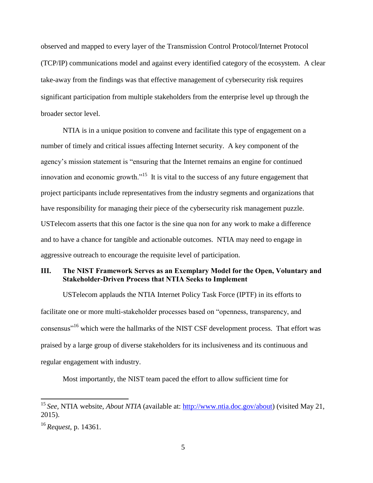observed and mapped to every layer of the Transmission Control Protocol/Internet Protocol (TCP/IP) communications model and against every identified category of the ecosystem. A clear take-away from the findings was that effective management of cybersecurity risk requires significant participation from multiple stakeholders from the enterprise level up through the broader sector level.

NTIA is in a unique position to convene and facilitate this type of engagement on a number of timely and critical issues affecting Internet security. A key component of the agency's mission statement is "ensuring that the Internet remains an engine for continued innovation and economic growth."<sup>15</sup> It is vital to the success of any future engagement that project participants include representatives from the industry segments and organizations that have responsibility for managing their piece of the cybersecurity risk management puzzle. USTelecom asserts that this one factor is the sine qua non for any work to make a difference and to have a chance for tangible and actionable outcomes. NTIA may need to engage in aggressive outreach to encourage the requisite level of participation.

### <span id="page-9-0"></span>**III. The NIST Framework Serves as an Exemplary Model for the Open, Voluntary and Stakeholder-Driven Process that NTIA Seeks to Implement**

USTelecom applauds the NTIA Internet Policy Task Force (IPTF) in its efforts to facilitate one or more multi-stakeholder processes based on "openness, transparency, and consensus"<sup>16</sup> which were the hallmarks of the NIST CSF development process. That effort was praised by a large group of diverse stakeholders for its inclusiveness and its continuous and regular engagement with industry.

Most importantly, the NIST team paced the effort to allow sufficient time for

<sup>&</sup>lt;sup>15</sup> See, NTIA website, *About NTIA* (available at: [http://www.ntia.doc.gov/about\)](http://www.ntia.doc.gov/about) (visited May 21, 2015).

<sup>16</sup> *Request*, p. 14361.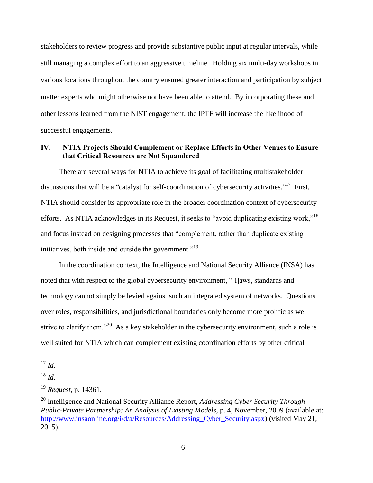stakeholders to review progress and provide substantive public input at regular intervals, while still managing a complex effort to an aggressive timeline. Holding six multi-day workshops in various locations throughout the country ensured greater interaction and participation by subject matter experts who might otherwise not have been able to attend. By incorporating these and other lessons learned from the NIST engagement, the IPTF will increase the likelihood of successful engagements.

### <span id="page-10-0"></span>**IV. NTIA Projects Should Complement or Replace Efforts in Other Venues to Ensure that Critical Resources are Not Squandered**

There are several ways for NTIA to achieve its goal of facilitating multistakeholder discussions that will be a "catalyst for self-coordination of cybersecurity activities."<sup>17</sup> First, NTIA should consider its appropriate role in the broader coordination context of cybersecurity efforts. As NTIA acknowledges in its Request, it seeks to "avoid duplicating existing work,"<sup>18</sup> and focus instead on designing processes that "complement, rather than duplicate existing initiatives, both inside and outside the government."<sup>19</sup>

In the coordination context, the Intelligence and National Security Alliance (INSA) has noted that with respect to the global cybersecurity environment, "[l]aws, standards and technology cannot simply be levied against such an integrated system of networks. Questions over roles, responsibilities, and jurisdictional boundaries only become more prolific as we strive to clarify them."<sup>20</sup> As a key stakeholder in the cybersecurity environment, such a role is well suited for NTIA which can complement existing coordination efforts by other critical

<sup>17</sup> *Id*.

<sup>18</sup> *Id*.

<sup>19</sup> *Request*, p. 14361.

<sup>20</sup> Intelligence and National Security Alliance Report, *Addressing Cyber Security Through Public-Private Partnership: An Analysis of Existing Models*, p. 4, November, 2009 (available at: http://www.insaonline.org/i/d/a/Resources/Addressing Cyber Security.aspx) (visited May 21, 2015).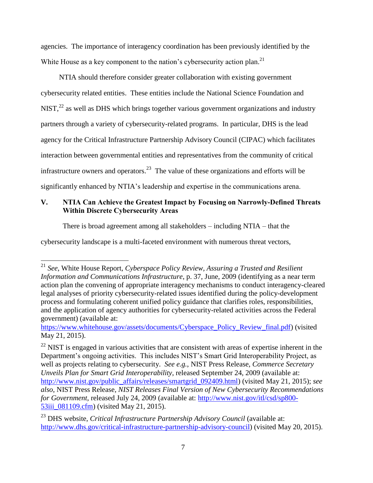agencies. The importance of interagency coordination has been previously identified by the White House as a key component to the nation's cybersecurity action plan.<sup>21</sup>

NTIA should therefore consider greater collaboration with existing government cybersecurity related entities. These entities include the National Science Foundation and  $NIST<sub>1</sub><sup>22</sup>$  as well as DHS which brings together various government organizations and industry partners through a variety of cybersecurity-related programs. In particular, DHS is the lead agency for the Critical Infrastructure Partnership Advisory Council (CIPAC) which facilitates interaction between governmental entities and representatives from the community of critical infrastructure owners and operators. $^{23}$  The value of these organizations and efforts will be significantly enhanced by NTIA's leadership and expertise in the communications arena.

# <span id="page-11-0"></span>**V. NTIA Can Achieve the Greatest Impact by Focusing on Narrowly-Defined Threats Within Discrete Cybersecurity Areas**

There is broad agreement among all stakeholders – including NTIA – that the

cybersecurity landscape is a multi-faceted environment with numerous threat vectors,

 $\overline{a}$ <sup>21</sup> *See*, White House Report, *Cyberspace Policy Review, Assuring a Trusted and Resilient Information and Communications Infrastructure*, p. 37, June, 2009 (identifying as a near term action plan the convening of appropriate interagency mechanisms to conduct interagency-cleared legal analyses of priority cybersecurity-related issues identified during the policy-development process and formulating coherent unified policy guidance that clarifies roles, responsibilities, and the application of agency authorities for cybersecurity-related activities across the Federal government) (available at:

[https://www.whitehouse.gov/assets/documents/Cyberspace\\_Policy\\_Review\\_final.pdf\)](https://www.whitehouse.gov/assets/documents/Cyberspace_Policy_Review_final.pdf) (visited May 21, 2015).

 $^{22}$  NIST is engaged in various activities that are consistent with areas of expertise inherent in the Department's ongoing activities. This includes NIST's Smart Grid Interoperability Project, as well as projects relating to cybersecurity. *See e.g.*, NIST Press Release, *Commerce Secretary Unveils Plan for Smart Grid Interoperability*, released September 24, 2009 (available at: [http://www.nist.gov/public\\_affairs/releases/smartgrid\\_092409.html\)](http://www.nist.gov/public_affairs/releases/smartgrid_092409.html) (visited May 21, 2015); *see also*, NIST Press Release, *NIST Releases Final Version of New Cybersecurity Recommendations for Government*, released July 24, 2009 (available at: [http://www.nist.gov/itl/csd/sp800-](http://www.nist.gov/itl/csd/sp800-53iii_081109.cfm) 53iii 081109.cfm) (visited May 21, 2015).

<sup>23</sup> DHS website, *Critical Infrastructure Partnership Advisory Council* (available at: [http://www.dhs.gov/critical-infrastructure-partnership-advisory-council\)](http://www.dhs.gov/critical-infrastructure-partnership-advisory-council) (visited May 20, 2015).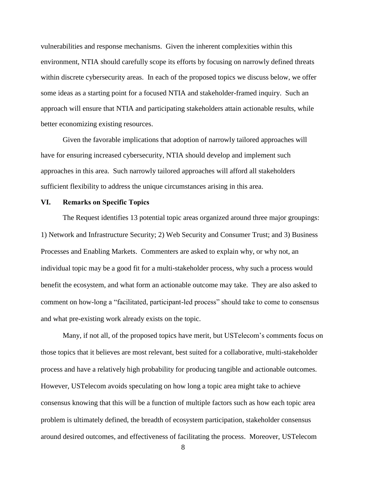vulnerabilities and response mechanisms. Given the inherent complexities within this environment, NTIA should carefully scope its efforts by focusing on narrowly defined threats within discrete cybersecurity areas. In each of the proposed topics we discuss below, we offer some ideas as a starting point for a focused NTIA and stakeholder-framed inquiry. Such an approach will ensure that NTIA and participating stakeholders attain actionable results, while better economizing existing resources.

Given the favorable implications that adoption of narrowly tailored approaches will have for ensuring increased cybersecurity, NTIA should develop and implement such approaches in this area. Such narrowly tailored approaches will afford all stakeholders sufficient flexibility to address the unique circumstances arising in this area.

#### <span id="page-12-0"></span>**VI. Remarks on Specific Topics**

The Request identifies 13 potential topic areas organized around three major groupings: 1) Network and Infrastructure Security; 2) Web Security and Consumer Trust; and 3) Business Processes and Enabling Markets. Commenters are asked to explain why, or why not, an individual topic may be a good fit for a multi-stakeholder process, why such a process would benefit the ecosystem, and what form an actionable outcome may take. They are also asked to comment on how-long a "facilitated, participant-led process" should take to come to consensus and what pre-existing work already exists on the topic.

Many, if not all, of the proposed topics have merit, but USTelecom's comments focus on those topics that it believes are most relevant, best suited for a collaborative, multi-stakeholder process and have a relatively high probability for producing tangible and actionable outcomes. However, USTelecom avoids speculating on how long a topic area might take to achieve consensus knowing that this will be a function of multiple factors such as how each topic area problem is ultimately defined, the breadth of ecosystem participation, stakeholder consensus around desired outcomes, and effectiveness of facilitating the process. Moreover, USTelecom

8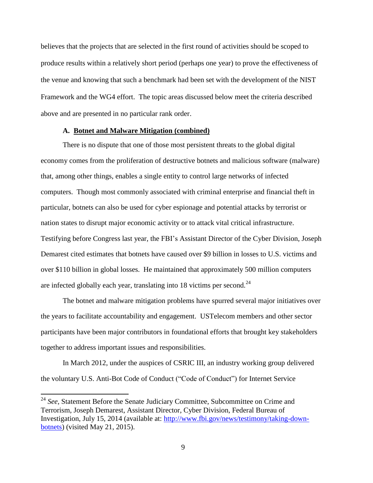believes that the projects that are selected in the first round of activities should be scoped to produce results within a relatively short period (perhaps one year) to prove the effectiveness of the venue and knowing that such a benchmark had been set with the development of the NIST Framework and the WG4 effort. The topic areas discussed below meet the criteria described above and are presented in no particular rank order.

#### **A. Botnet and Malware Mitigation (combined)**

<span id="page-13-0"></span>There is no dispute that one of those most persistent threats to the global digital economy comes from the proliferation of destructive botnets and malicious software (malware) that, among other things, enables a single entity to control large networks of infected computers. Though most commonly associated with criminal enterprise and financial theft in particular, botnets can also be used for cyber espionage and potential attacks by terrorist or nation states to disrupt major economic activity or to attack vital critical infrastructure. Testifying before Congress last year, the FBI's Assistant Director of the Cyber Division, Joseph Demarest cited estimates that botnets have caused over \$9 billion in losses to U.S. victims and over \$110 billion in global losses. He maintained that approximately 500 million computers are infected globally each year, translating into 18 victims per second.<sup>24</sup>

The botnet and malware mitigation problems have spurred several major initiatives over the years to facilitate accountability and engagement. USTelecom members and other sector participants have been major contributors in foundational efforts that brought key stakeholders together to address important issues and responsibilities.

In March 2012, under the auspices of CSRIC III, an industry working group delivered the voluntary U.S. Anti-Bot Code of Conduct ("Code of Conduct") for Internet Service

 $\ddot{\phantom{a}}$ 

<sup>&</sup>lt;sup>24</sup> See, Statement Before the Senate Judiciary Committee, Subcommittee on Crime and Terrorism, Joseph Demarest, Assistant Director, Cyber Division, Federal Bureau of Investigation, July 15, 2014 (available at: [http://www.fbi.gov/news/testimony/taking-down](http://www.fbi.gov/news/testimony/taking-down-botnets)[botnets\)](http://www.fbi.gov/news/testimony/taking-down-botnets) (visited May 21, 2015).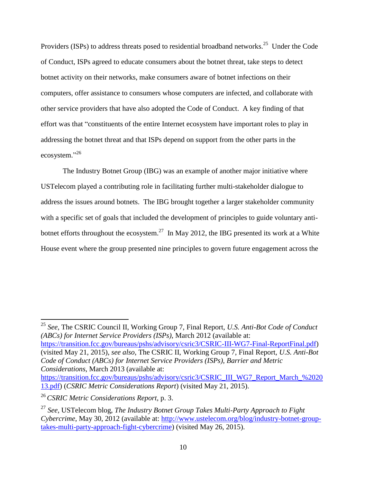Providers (ISPs) to address threats posed to residential broadband networks.<sup>25</sup> Under the Code of Conduct, ISPs agreed to educate consumers about the botnet threat, take steps to detect botnet activity on their networks, make consumers aware of botnet infections on their computers, offer assistance to consumers whose computers are infected, and collaborate with other service providers that have also adopted the Code of Conduct. A key finding of that effort was that "constituents of the entire Internet ecosystem have important roles to play in addressing the botnet threat and that ISPs depend on support from the other parts in the ecosystem." 26

The Industry Botnet Group (IBG) was an example of another major initiative where USTelecom played a contributing role in facilitating further multi-stakeholder dialogue to address the issues around botnets. The IBG brought together a larger stakeholder community with a specific set of goals that included the development of principles to guide voluntary antibotnet efforts throughout the ecosystem.<sup>27</sup> In May 2012, the IBG presented its work at a White House event where the group presented nine principles to govern future engagement across the

<sup>25</sup> *See,* The CSRIC Council II, Working Group 7, Final Report, *U.S. Anti-Bot Code of Conduct (ABCs) for Internet Service Providers (ISPs)*, March 2012 (available at: [https://transition.fcc.gov/bureaus/pshs/advisory/csric3/CSRIC-III-WG7-Final-ReportFinal.pdf\)](https://transition.fcc.gov/bureaus/pshs/advisory/csric3/CSRIC-III-WG7-Final-ReportFinal.pdf) (visited May 21, 2015), *see also*, The CSRIC II, Working Group 7, Final Report, *U.S. Anti-Bot Code of Conduct (ABCs) for Internet Service Providers (ISPs), Barrier and Metric Considerations*, March 2013 (available at: [https://transition.fcc.gov/bureaus/pshs/advisory/csric3/CSRIC\\_III\\_WG7\\_Report\\_March\\_%2020](https://transition.fcc.gov/bureaus/pshs/advisory/csric3/CSRIC_III_WG7_Report_March_%202013.pdf)

[13.pdf\)](https://transition.fcc.gov/bureaus/pshs/advisory/csric3/CSRIC_III_WG7_Report_March_%202013.pdf) (*CSRIC Metric Considerations Report*) (visited May 21, 2015).

<sup>26</sup> *CSRIC Metric Considerations Report,* p. 3.

<sup>27</sup> *See,* USTelecom blog, *The Industry Botnet Group Takes Multi-Party Approach to Fight Cybercrime*, May 30, 2012 (available at: [http://www.ustelecom.org/blog/industry-botnet-group](http://www.ustelecom.org/blog/industry-botnet-group-takes-multi-party-approach-fight-cybercrime)[takes-multi-party-approach-fight-cybercrime\)](http://www.ustelecom.org/blog/industry-botnet-group-takes-multi-party-approach-fight-cybercrime) (visited May 26, 2015).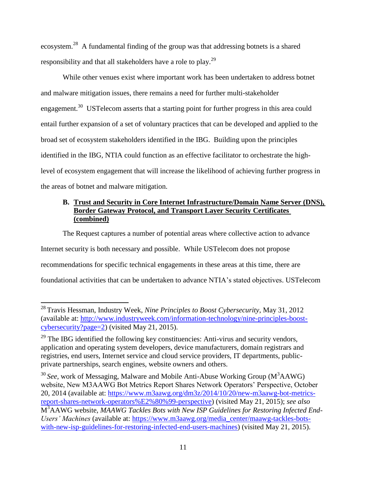ecosystem.<sup>28</sup> A fundamental finding of the group was that addressing botnets is a shared responsibility and that all stakeholders have a role to play.<sup>29</sup>

While other venues exist where important work has been undertaken to address botnet and malware mitigation issues, there remains a need for further multi-stakeholder engagement.<sup>30</sup> USTelecom asserts that a starting point for further progress in this area could entail further expansion of a set of voluntary practices that can be developed and applied to the broad set of ecosystem stakeholders identified in the IBG. Building upon the principles identified in the IBG, NTIA could function as an effective facilitator to orchestrate the highlevel of ecosystem engagement that will increase the likelihood of achieving further progress in the areas of botnet and malware mitigation.

# <span id="page-15-0"></span>**B. Trust and Security in Core Internet Infrastructure/Domain Name Server (DNS), Border Gateway Protocol, and Transport Layer Security Certificates (combined)**

The Request captures a number of potential areas where collective action to advance Internet security is both necessary and possible. While USTelecom does not propose recommendations for specific technical engagements in these areas at this time, there are foundational activities that can be undertaken to advance NTIA's stated objectives. USTelecom

 $\ddot{\phantom{a}}$ 

<sup>28</sup> Travis Hessman, Industry Week, *Nine Principles to Boost Cybersecurity*, May 31, 2012 (available at: [http://www.industryweek.com/information-technology/nine-principles-boost](http://www.industryweek.com/information-technology/nine-principles-boost-cybersecurity?page=2)[cybersecurity?page=2\)](http://www.industryweek.com/information-technology/nine-principles-boost-cybersecurity?page=2) (visited May 21, 2015).

 $29$  The IBG identified the following key constituencies: Anti-virus and security vendors, application and operating system developers, device manufacturers, domain registrars and registries, end users, Internet service and cloud service providers, IT departments, publicprivate partnerships, search engines, website owners and others.

 $30$  *See*, work of Messaging, Malware and Mobile Anti-Abuse Working Group ( $M<sup>3</sup>AAWG$ ) website, New M3AAWG Bot Metrics Report Shares Network Operators' Perspective, October 20, 2014 (available at: [https://www.m3aawg.org/dm3z/2014/10/20/new-m3aawg-bot-metrics](https://www.m3aawg.org/dm3z/2014/10/20/new-m3aawg-bot-metrics-report-shares-network-operators%E2%80%99-perspective)[report-shares-network-operators%E2%80%99-perspective\)](https://www.m3aawg.org/dm3z/2014/10/20/new-m3aawg-bot-metrics-report-shares-network-operators%E2%80%99-perspective) (visited May 21, 2015); *see also* M <sup>3</sup>AAWG website, *MAAWG Tackles Bots with New ISP Guidelines for Restoring Infected End-Users' Machines* (available at: [https://www.m3aawg.org/media\\_center/maawg-tackles-bots](https://www.m3aawg.org/media_center/maawg-tackles-bots-with-new-isp-guidelines-for-restoring-infected-end-users-machines)[with-new-isp-guidelines-for-restoring-infected-end-users-machines\)](https://www.m3aawg.org/media_center/maawg-tackles-bots-with-new-isp-guidelines-for-restoring-infected-end-users-machines) (visited May 21, 2015).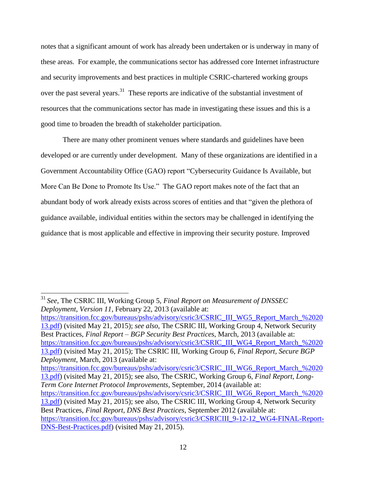notes that a significant amount of work has already been undertaken or is underway in many of these areas. For example, the communications sector has addressed core Internet infrastructure and security improvements and best practices in multiple CSRIC-chartered working groups over the past several years.<sup>31</sup> These reports are indicative of the substantial investment of resources that the communications sector has made in investigating these issues and this is a good time to broaden the breadth of stakeholder participation.

There are many other prominent venues where standards and guidelines have been developed or are currently under development. Many of these organizations are identified in a Government Accountability Office (GAO) report "Cybersecurity Guidance Is Available, but More Can Be Done to Promote Its Use." The GAO report makes note of the fact that an abundant body of work already exists across scores of entities and that "given the plethora of guidance available, individual entities within the sectors may be challenged in identifying the guidance that is most applicable and effective in improving their security posture. Improved

 $\overline{a}$ 

[https://transition.fcc.gov/bureaus/pshs/advisory/csric3/CSRIC\\_III\\_WG5\\_Report\\_March\\_%2020](https://transition.fcc.gov/bureaus/pshs/advisory/csric3/CSRIC_III_WG5_Report_March_%202013.pdf) [13.pdf\)](https://transition.fcc.gov/bureaus/pshs/advisory/csric3/CSRIC_III_WG5_Report_March_%202013.pdf) (visited May 21, 2015); *see also*, The CSRIC III, Working Group 4, Network Security Best Practices, *Final Report – BGP Security Best Practices*, March, 2013 (available at: [https://transition.fcc.gov/bureaus/pshs/advisory/csric3/CSRIC\\_III\\_WG4\\_Report\\_March\\_%2020](https://transition.fcc.gov/bureaus/pshs/advisory/csric3/CSRIC_III_WG4_Report_March_%202013.pdf) [13.pdf\)](https://transition.fcc.gov/bureaus/pshs/advisory/csric3/CSRIC_III_WG4_Report_March_%202013.pdf) (visited May 21, 2015); The CSRIC III, Working Group 6, *Final Report, Secure BGP Deployment*, March, 2013 (available at:

[https://transition.fcc.gov/bureaus/pshs/advisory/csric3/CSRIC\\_III\\_WG6\\_Report\\_March\\_%2020](https://transition.fcc.gov/bureaus/pshs/advisory/csric3/CSRIC_III_WG6_Report_March_%202013.pdf) [13.pdf\)](https://transition.fcc.gov/bureaus/pshs/advisory/csric3/CSRIC_III_WG6_Report_March_%202013.pdf) (visited May 21, 2015); see also, The CSRIC, Working Group 6, *Final Report, Long-Term Core Internet Protocol Improvements*, September, 2014 (available at:

<sup>31</sup> *See*, The CSRIC III, Working Group 5, *Final Report on Measurement of DNSSEC Deployment, Version 11*, February 22, 2013 (available at:

[https://transition.fcc.gov/bureaus/pshs/advisory/csric3/CSRIC\\_III\\_WG6\\_Report\\_March\\_%2020](https://transition.fcc.gov/bureaus/pshs/advisory/csric3/CSRIC_III_WG6_Report_March_%202013.pdf) [13.pdf\)](https://transition.fcc.gov/bureaus/pshs/advisory/csric3/CSRIC_III_WG6_Report_March_%202013.pdf) (visited May 21, 2015); see also, The CSRIC III, Working Group 4, Network Security Best Practices, *Final Report, DNS Best Practices*, September 2012 (available at: [https://transition.fcc.gov/bureaus/pshs/advisory/csric3/CSRICIII\\_9-12-12\\_WG4-FINAL-Report-](https://transition.fcc.gov/bureaus/pshs/advisory/csric3/CSRICIII_9-12-12_WG4-FINAL-Report-DNS-Best-Practices.pdf)[DNS-Best-Practices.pdf\)](https://transition.fcc.gov/bureaus/pshs/advisory/csric3/CSRICIII_9-12-12_WG4-FINAL-Report-DNS-Best-Practices.pdf) (visited May 21, 2015).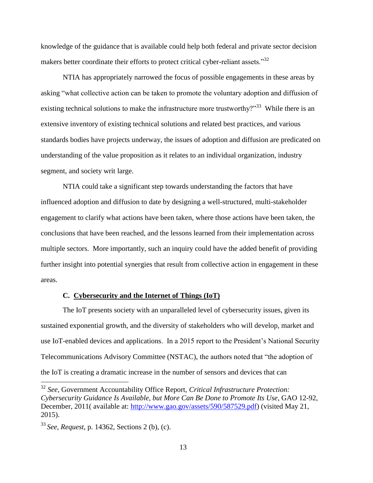knowledge of the guidance that is available could help both federal and private sector decision makers better coordinate their efforts to protect critical cyber-reliant assets."<sup>32</sup>

NTIA has appropriately narrowed the focus of possible engagements in these areas by asking "what collective action can be taken to promote the voluntary adoption and diffusion of existing technical solutions to make the infrastructure more trustworthy?"<sup>33</sup> While there is an extensive inventory of existing technical solutions and related best practices, and various standards bodies have projects underway, the issues of adoption and diffusion are predicated on understanding of the value proposition as it relates to an individual organization, industry segment, and society writ large.

NTIA could take a significant step towards understanding the factors that have influenced adoption and diffusion to date by designing a well-structured, multi-stakeholder engagement to clarify what actions have been taken, where those actions have been taken, the conclusions that have been reached, and the lessons learned from their implementation across multiple sectors. More importantly, such an inquiry could have the added benefit of providing further insight into potential synergies that result from collective action in engagement in these areas.

### **C. Cybersecurity and the Internet of Things (IoT)**

<span id="page-17-0"></span>The IoT presents society with an unparalleled level of cybersecurity issues, given its sustained exponential growth, and the diversity of stakeholders who will develop, market and use IoT-enabled devices and applications. In a 2015 report to the President's National Security Telecommunications Advisory Committee (NSTAC), the authors noted that "the adoption of the IoT is creating a dramatic increase in the number of sensors and devices that can

<sup>32</sup> *See,* Government Accountability Office Report, *Critical Infrastructure Protection: Cybersecurity Guidance Is Available, but More Can Be Done to Promote Its Use*, GAO 12-92, December, 2011( available at: [http://www.gao.gov/assets/590/587529.pdf\)](http://www.gao.gov/assets/590/587529.pdf) (visited May 21, 2015).

<sup>33</sup> *See, Request*, p. 14362, Sections 2 (b), (c).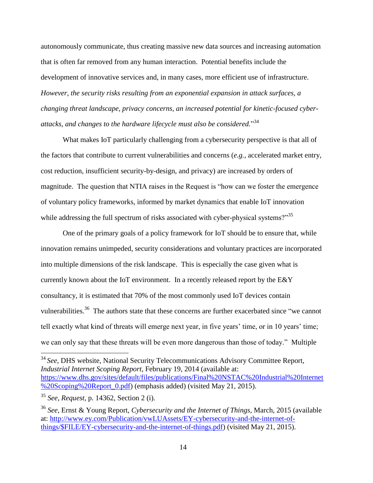autonomously communicate, thus creating massive new data sources and increasing automation that is often far removed from any human interaction. Potential benefits include the development of innovative services and, in many cases, more efficient use of infrastructure. *However, the security risks resulting from an exponential expansion in attack surfaces, a changing threat landscape, privacy concerns, an increased potential for kinetic-focused cyberattacks, and changes to the hardware lifecycle must also be considered.*" 34

What makes IoT particularly challenging from a cybersecurity perspective is that all of the factors that contribute to current vulnerabilities and concerns (*e.g.*, accelerated market entry, cost reduction, insufficient security-by-design, and privacy) are increased by orders of magnitude. The question that NTIA raises in the Request is "how can we foster the emergence of voluntary policy frameworks, informed by market dynamics that enable IoT innovation while addressing the full spectrum of risks associated with cyber-physical systems?"<sup>35</sup>

One of the primary goals of a policy framework for IoT should be to ensure that, while innovation remains unimpeded, security considerations and voluntary practices are incorporated into multiple dimensions of the risk landscape. This is especially the case given what is currently known about the IoT environment. In a recently released report by the E&Y consultancy, it is estimated that 70% of the most commonly used IoT devices contain vulnerabilities.<sup>36</sup> The authors state that these concerns are further exacerbated since "we cannot tell exactly what kind of threats will emerge next year, in five years' time, or in 10 years' time; we can only say that these threats will be even more dangerous than those of today." Multiple

<sup>34</sup> *See,* DHS website, National Security Telecommunications Advisory Committee Report, *Industrial Internet Scoping Report*, February 19, 2014 (available at: [https://www.dhs.gov/sites/default/files/publications/Final%20NSTAC%20Industrial%20Internet](https://www.dhs.gov/sites/default/files/publications/Final%20NSTAC%20Industrial%20Internet%20Scoping%20Report_0.pdf) [%20Scoping%20Report\\_0.pdf\)](https://www.dhs.gov/sites/default/files/publications/Final%20NSTAC%20Industrial%20Internet%20Scoping%20Report_0.pdf) (emphasis added) (visited May 21, 2015).

<sup>35</sup> *See, Request*, p. 14362, Section 2 (i).

<sup>36</sup> *See,* Ernst & Young Report, *Cybersecurity and the Internet of Things*, March, 2015 (available at: [http://www.ey.com/Publication/vwLUAssets/EY-cybersecurity-and-the-internet-of](http://www.ey.com/Publication/vwLUAssets/EY-cybersecurity-and-the-internet-of-things/$FILE/EY-cybersecurity-and-the-internet-of-things.pdf)[things/\\$FILE/EY-cybersecurity-and-the-internet-of-things.pdf\)](http://www.ey.com/Publication/vwLUAssets/EY-cybersecurity-and-the-internet-of-things/$FILE/EY-cybersecurity-and-the-internet-of-things.pdf) (visited May 21, 2015).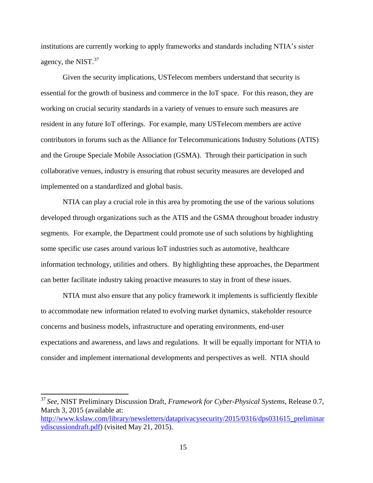institutions are currently working to apply frameworks and standards including NTIA's sister agency, the NIST. $37$ 

Given the security implications, USTelecom members understand that security is essential for the growth of business and commerce in the IoT space. For this reason, they are working on crucial security standards in a variety of venues to ensure such measures are resident in any future IoT offerings. For example, many USTelecom members are active contributors in forums such as the Alliance for Telecommunications Industry Solutions (ATIS) and the Groupe Speciale Mobile Association (GSMA). Through their participation in such collaborative venues, industry is ensuring that robust security measures are developed and implemented on a standardized and global basis.

NTIA can play a crucial role in this area by promoting the use of the various solutions developed through organizations such as the ATIS and the GSMA throughout broader industry segments. For example, the Department could promote use of such solutions by highlighting some specific use cases around various IoT industries such as automotive, healthcare information technology, utilities and others. By highlighting these approaches, the Department can better facilitate industry taking proactive measures to stay in front of these issues.

NTIA must also ensure that any policy framework it implements is sufficiently flexible to accommodate new information related to evolving market dynamics, stakeholder resource concerns and business models, infrastructure and operating environments, end-user expectations and awareness, and laws and regulations. It will be equally important for NTIA to consider and implement international developments and perspectives as well. NTIA should

 $\ddot{\phantom{a}}$ 

<sup>37</sup> *See,* NIST Preliminary Discussion Draft, *Framework for Cyber-Physical Systems*, Release 0.7, March 3, 2015 (available at: [http://www.kslaw.com/library/newsletters/dataprivacysecurity/2015/0316/dps031615\\_preliminar](http://www.kslaw.com/library/newsletters/dataprivacysecurity/2015/0316/dps031615_preliminarydiscussiondraft.pdf)

[ydiscussiondraft.pdf\)](http://www.kslaw.com/library/newsletters/dataprivacysecurity/2015/0316/dps031615_preliminarydiscussiondraft.pdf) (visited May 21, 2015).